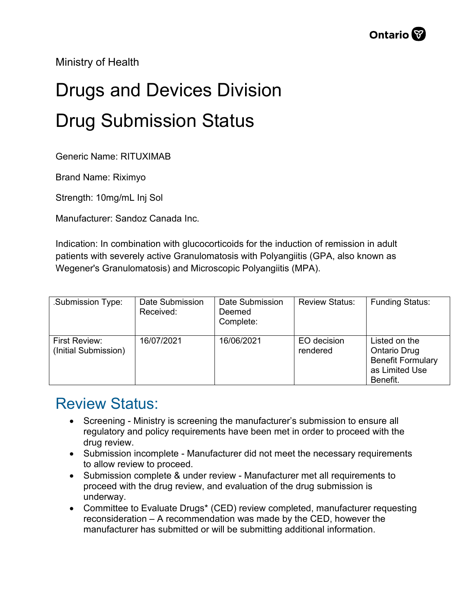Ministry of Health

## Drugs and Devices Division Drug Submission Status

Generic Name: RITUXIMAB

Brand Name: Riximyo

Strength: 10mg/mL Inj Sol

Manufacturer: Sandoz Canada Inc.

Indication: In combination with glucocorticoids for the induction of remission in adult patients with severely active Granulomatosis with Polyangiitis (GPA, also known as Wegener's Granulomatosis) and Microscopic Polyangiitis (MPA).

| Submission Type:                      | Date Submission<br>Received: | Date Submission<br>Deemed<br>Complete: | <b>Review Status:</b>   | <b>Funding Status:</b>                                                                         |
|---------------------------------------|------------------------------|----------------------------------------|-------------------------|------------------------------------------------------------------------------------------------|
| First Review:<br>(Initial Submission) | 16/07/2021                   | 16/06/2021                             | EO decision<br>rendered | Listed on the<br><b>Ontario Drug</b><br><b>Benefit Formulary</b><br>as Limited Use<br>Benefit. |

## Review Status:

- Screening Ministry is screening the manufacturer's submission to ensure all regulatory and policy requirements have been met in order to proceed with the drug review.
- Submission incomplete Manufacturer did not meet the necessary requirements to allow review to proceed.
- Submission complete & under review Manufacturer met all requirements to proceed with the drug review, and evaluation of the drug submission is underway.
- Committee to Evaluate Drugs\* (CED) review completed, manufacturer requesting reconsideration – A recommendation was made by the CED, however the manufacturer has submitted or will be submitting additional information.